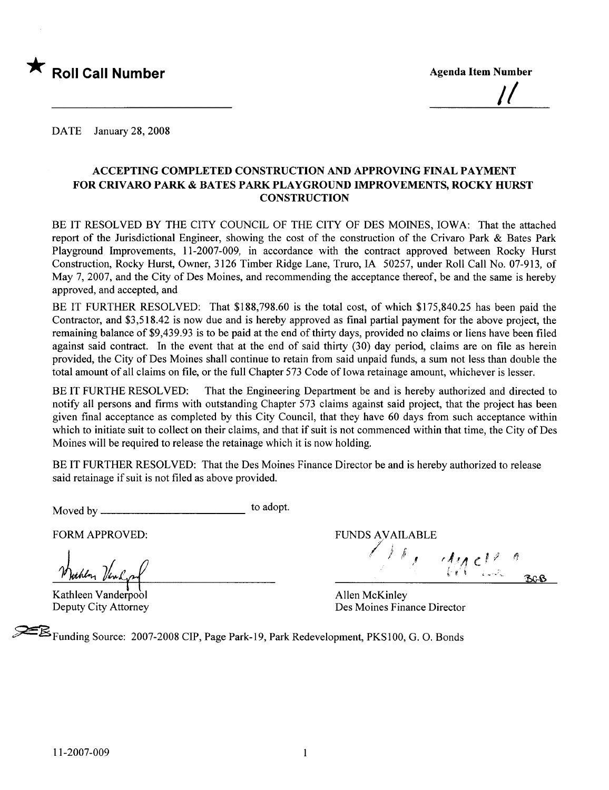

<u>||</u>

DATE January 28, 2008

#### ACCEPTING COMPLETED CONSTRUCTION AND APPROVING FINAL PAYMENT FOR CRIVARO PARK & BATES PARK PLAYGROUND IMPROVEMENTS, ROCKY HURST **CONSTRUCTION**

BE IT RESOLVED BY THE CITY COUNCIL OF THE CITY OF DES MOINES, IOWA: That the attached report of the Jurisdictional Engineer, showing the cost of the construction of the Crivaro Park & Bates Park Playground Improvements, 11-2007-009, in accordance with the contract approved between Rocky Hurst Construction, Rocky Hurst, Owner, 3126 Timber Ridge Lane, Truro, IA 50257, under Roll Call No. 07-913, of May 7, 2007, and the City of Des Moines, and recommending the acceptance thereof, be and the same is hereby approved, and accepted, and

BE IT FURTHER RESOLVED: That \$188,798.60 is the total cost, of which \$175,840.25 has been paid the Contractor, and \$3,518.42 is now due and is hereby approved as final partial payment for the above project, the remaining balance of \$9,439.93 is to be paid at the end of thirty days, provided no claims or liens have been filed against said contract. In the event that at the end of said thirty  $(30)$  day period, claims are on file as herein provided, the City of Des Moines shall continue to retain from said unpaid funds, a sum not less than double the total amount of all claims on file, or the full Chapter 573 Code of Iowa retainage amount, whichever is lesser.

BE IT FURTHE RESOLVED: That the Engineering Department be and is hereby authorized and directed to notify all persons and firms with outstanding Chapter 573 claims against said project, that the project has been given final acceptance as completed by this City Council, that they have 60 days from such acceptance within which to initiate suit to collect on their claims, and that if suit is not commenced within that time, the City of Des Moines will be required to release the retainage which it is now holding.

BE IT FURTHER RESOLVED: That the Des Moines Finance Director be and is hereby authorized to release said retainage if suit is not fied as above provided.

Moved by to adopt.

Jocher Venly

Kathleen Vanderpool Deputy City Attorney

FORM APPROVED: THE RESERVED BY A FUNDS AVAILABLE  $\ell$  )  $\ell$  , that  $\psi$  and  $\psi$  is a constant of  $\psi$ ff ncß

Allen McKinley Des Moines Finance Director

~Funding Source: 2007-2008 CIP, Page Park-l 9, Park Redevelopment, PKSIOO, G. O. Bonds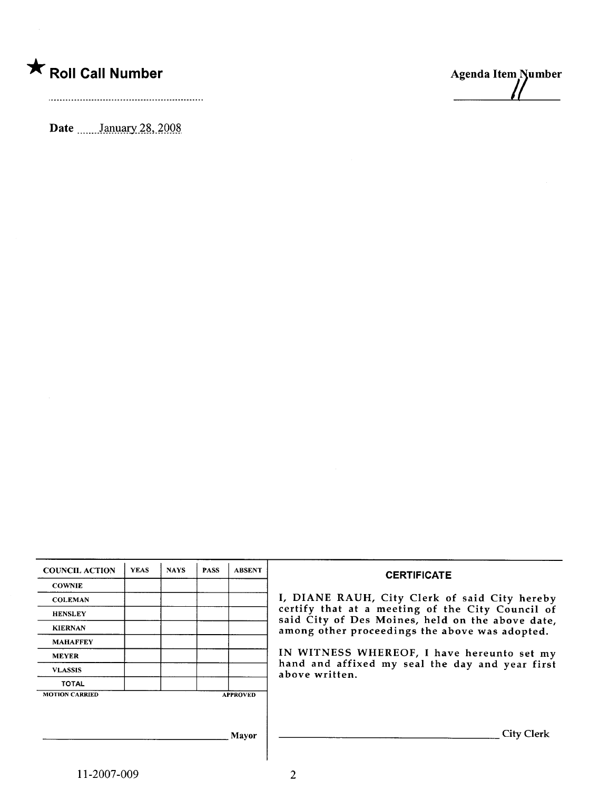## \* Roll Call Number Agenda Item Number

Date \_\_\_\_\_\_ January 28, 2008



| <b>COUNCIL ACTION</b> | <b>YEAS</b> | <b>NAYS</b> | <b>PASS</b> | <b>ABSENT</b>   | <b>CERTIFICATE</b>                                                                                   |
|-----------------------|-------------|-------------|-------------|-----------------|------------------------------------------------------------------------------------------------------|
| <b>COWNIE</b>         |             |             |             |                 |                                                                                                      |
| <b>COLEMAN</b>        |             |             |             |                 | I, DIANE RAUH, City Clerk of said City hereby                                                        |
| <b>HENSLEY</b>        |             |             |             |                 | certify that at a meeting of the City Council of<br>said City of Des Moines, held on the above date, |
| <b>KIERNAN</b>        |             |             |             |                 | among other proceedings the above was adopted.                                                       |
| <b>MAHAFFEY</b>       |             |             |             |                 |                                                                                                      |
| <b>MEYER</b>          |             |             |             |                 | IN WITNESS WHEREOF, I have hereunto set my                                                           |
| <b>VLASSIS</b>        |             |             |             |                 | hand and affixed my seal the day and year first<br>above written.                                    |
| <b>TOTAL</b>          |             |             |             |                 |                                                                                                      |
| <b>MOTION CARRIED</b> |             |             |             | <b>APPROVED</b> |                                                                                                      |
|                       |             |             |             |                 |                                                                                                      |
|                       |             |             |             |                 |                                                                                                      |
|                       |             |             |             | Mavor           | City Clerk                                                                                           |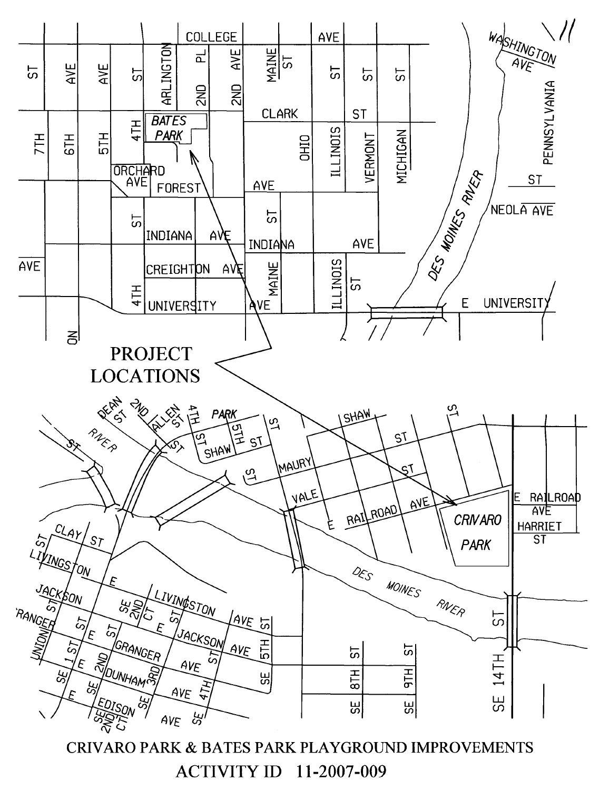

CRIVARO PARK & BATES PARK PLAYGROUND IMPROVEMENTS ACTIVITY ID 11-2007-009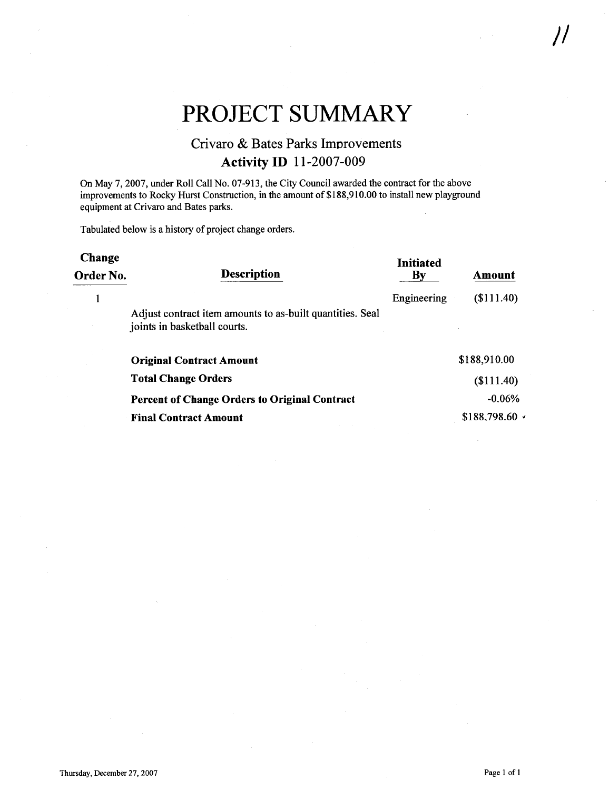### PROJECT SUMMARY

#### Crivaro & Bates Parks Improvements Activity ID 11-2007-009

On May 7,2007, under Roll Call No. 07-913, the City Council awarded the contract for the above improvements to Rocky Hurst Construction, in the amount of \$188,910.00 to install new playground equipment at Crivaro and Bates parks.

Tabulated below is a history of project change orders.

| <b>Change</b><br>Order No. | <b>Description</b>                                                                        | <b>Initiated</b><br>By | Amount       |
|----------------------------|-------------------------------------------------------------------------------------------|------------------------|--------------|
|                            |                                                                                           | Engineering            | \$111.40     |
|                            | Adjust contract item amounts to as-built quantities. Seal<br>joints in basketball courts. |                        |              |
|                            | <b>Original Contract Amount</b>                                                           |                        | \$188,910.00 |
|                            | <b>Total Change Orders</b>                                                                |                        | \$111.40     |
|                            | <b>Percent of Change Orders to Original Contract</b>                                      |                        | $-0.06%$     |
|                            | <b>Final Contract Amount</b>                                                              |                        | \$188,798.60 |

 $\frac{1}{2}$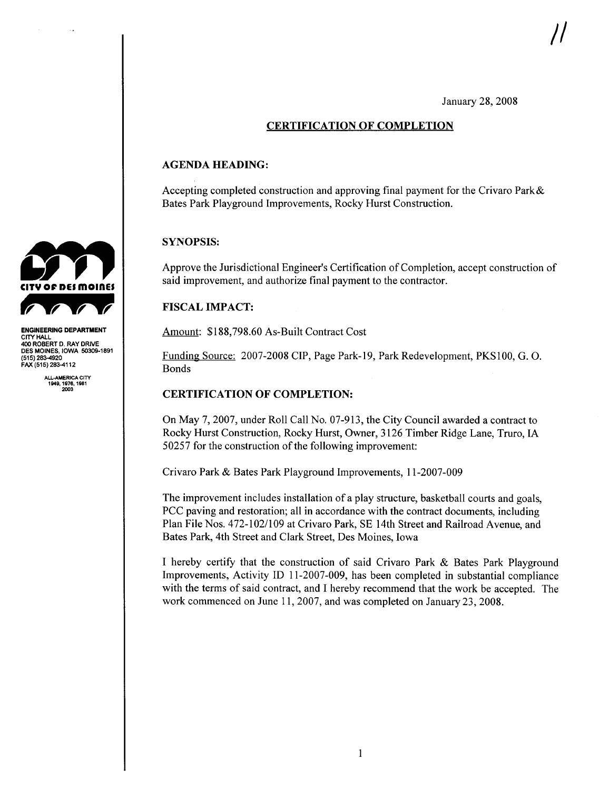January 28, 2008

#### CERTIFICATION OF COMPLETION

#### AGENDA HEADING:

Accepting completed construction and approving final payment for the Crivaro Park& Bates Park Playground Improvements, Rocky Hurst Construction.

#### SYNOPSIS:

Approve the Jurisdictional Engineer's Certification of Completion, accept construction of said improvement, and authorize final payment to the contractor.

#### FISCAL IMPACT:

Amount: \$188,798.60 As-Built Contract Cost

Funding Source: 2007-2008 CIP, Page Park-19, Park Redevelopment, PKS100, G. O. Bonds

#### CERTIFICATION OF COMPLETION:

On May 7, 2007, under Roll Call No. 07-913, the City Council awarded a contract to Rocky Hurst Construction, Rocky Hurst, Owner, 3126 Timber Ridge Lane, Truro, IA 50257 for the construction of the following improvement:

Crivaro Park & Bates Park Playground Improvements, 11-2007-009

The improvement includes installation of a play structure, basketball courts and goals, PCC paving and restoration; all in accordance with the contract documents, including Plan File Nos. 472-102/109 at Crivaro Park, SE 14th Street and Railroad Avenue, and Bates Park, 4th Street and Clark Street, Des Moines, Iowa

I hereby certify that the construction of said Crivaro Park & Bates Park Playground Improvements, Activity ID 11-2007-009, has been completed in substantial compliance with the terms of said contract, and I hereby recommend that the work be accepted. The work commenced on June 11,2007, and was completed on January 23,2008.



ENGINEERING DEPARTMENT CITY HALL 400 ROBERT D. RAY DRIVE DES MOINES, IOWA 50309-1891 (515) 283-920 FAX (515) 283-4112

> ALL-AMERICA CITY<br>1949, 1976, 1981 2003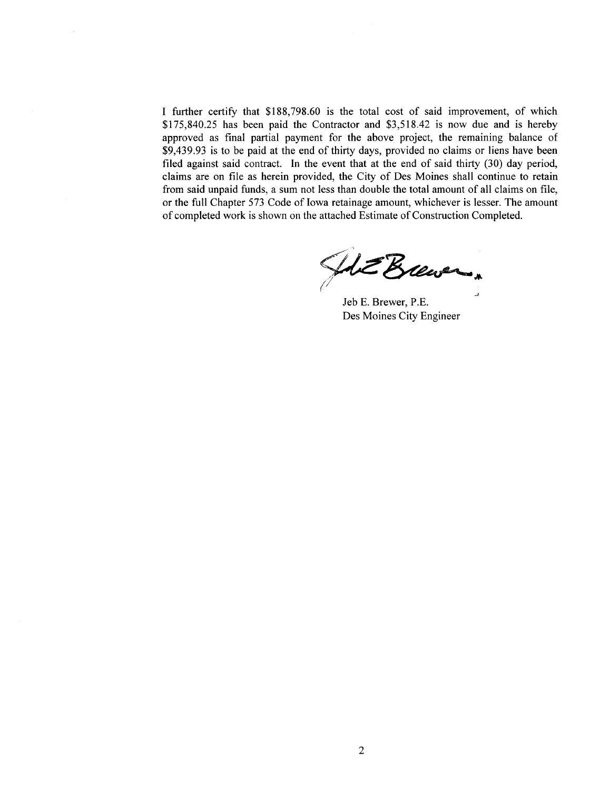I further certify that \$188,798.60 is the total cost of said improvement, of which \$ 1 75,840.25 has been paid the Contractor and \$3,518.42 is now due and is hereby approved as final partial payment for the above project, the remaining balance of \$9,439.93 is to be paid at the end of thirty days, provided no claims or liens have been filed against said contract. In the event that at the end of said thirty  $(30)$  day period, claims are on fie as herein provided, the City of Des Moines shall continue to retain from said unpaid funds, a sum not less than double the total amount of all claims on fie, or the full Chapter 573 Code of Iowa retainage amount, whichever is lesser. The amount of completed work is shown on the attached Estimate of Construction Completed.

HE Brewer,

Jeb E. Brewer, P.E. Des Moines City Engineer

2